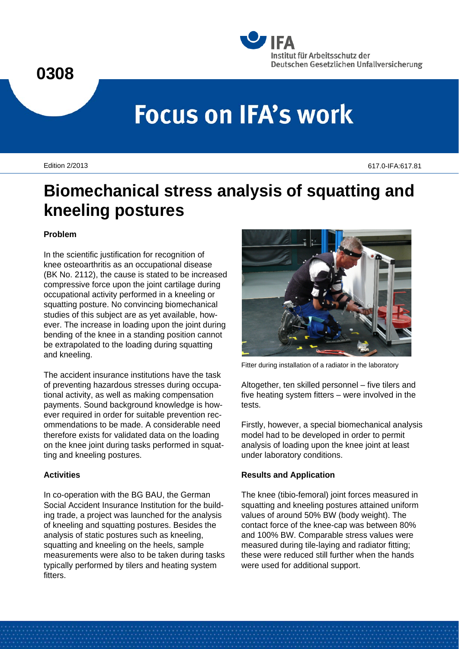# **0308**



# **Focus on IFA's work**

Edition 2/2013 617.0-IFA:617.81

# **Biomechanical stress analysis of squatting and kneeling postures**

# **Problem**

In the scientific justification for recognition of knee osteoarthritis as an occupational disease (BK No. 2112), the cause is stated to be increased compressive force upon the joint cartilage during occupational activity performed in a kneeling or squatting posture. No convincing biomechanical studies of this subject are as yet available, however. The increase in loading upon the joint during bending of the knee in a standing position cannot be extrapolated to the loading during squatting and kneeling.

The accident insurance institutions have the task of preventing hazardous stresses during occupational activity, as well as making compensation payments. Sound background knowledge is however required in order for suitable prevention recommendations to be made. A considerable need therefore exists for validated data on the loading on the knee joint during tasks performed in squatting and kneeling postures.

# **Activities**

In co-operation with the BG BAU, the German Social Accident Insurance Institution for the building trade, a project was launched for the analysis of kneeling and squatting postures. Besides the analysis of static postures such as kneeling, squatting and kneeling on the heels, sample measurements were also to be taken during tasks typically performed by tilers and heating system fitters.



Fitter during installation of a radiator in the laboratory

Altogether, ten skilled personnel – five tilers and five heating system fitters – were involved in the tests.

Firstly, however, a special biomechanical analysis model had to be developed in order to permit analysis of loading upon the knee joint at least under laboratory conditions.

# **Results and Application**

The knee (tibio-femoral) joint forces measured in squatting and kneeling postures attained uniform values of around 50% BW (body weight). The contact force of the knee-cap was between 80% and 100% BW. Comparable stress values were measured during tile-laying and radiator fitting; these were reduced still further when the hands were used for additional support.